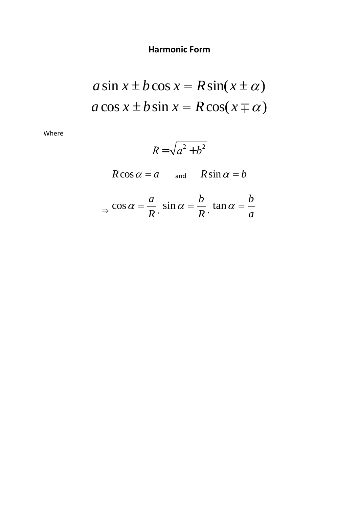## **Harmonic Form**

$$
a\sin x \pm b\cos x = R\sin(x \pm \alpha)
$$
  

$$
a\cos x \pm b\sin x = R\cos(x \mp \alpha)
$$

Where

$$
R=\sqrt{a^2+b^2}
$$

$$
R\cos\alpha = a \qquad \text{and} \qquad R\sin\alpha = b
$$

$$
\Rightarrow \cos \alpha = \frac{a}{R}, \sin \alpha = \frac{b}{R}, \tan \alpha = \frac{b}{a}
$$